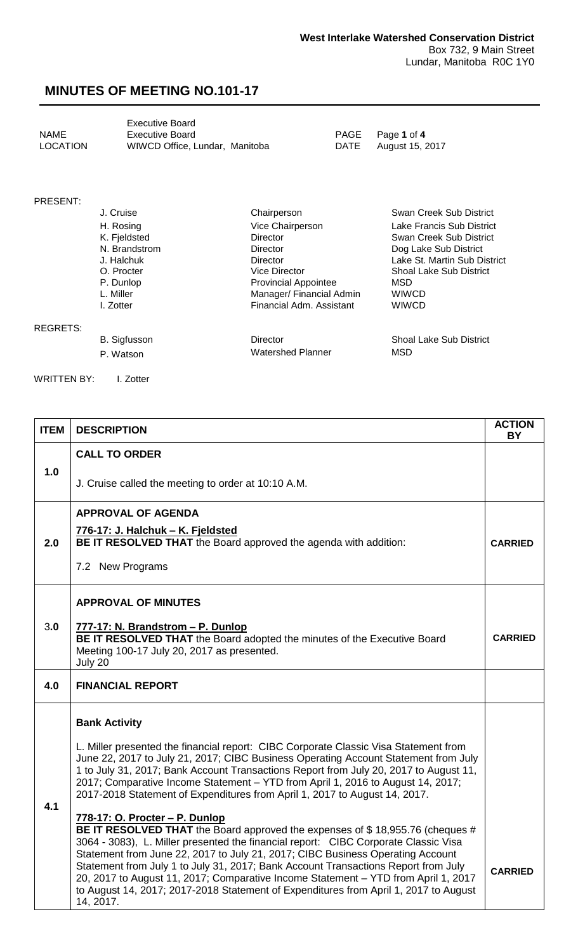<span id="page-0-0"></span>

|                 | <b>Executive Board</b>         |
|-----------------|--------------------------------|
| <b>NAME</b>     | Executive Board                |
| <b>LOCATION</b> | WIWCD Office, Lundar, Manitoba |

PAGE Page 1 of 4 DATE August 15, 2017

#### PRESENT:

|                 | J. Cruise     | Chairperson                 | Swan Creek Sub District        |
|-----------------|---------------|-----------------------------|--------------------------------|
|                 | H. Rosing     | Vice Chairperson            | Lake Francis Sub District      |
|                 | K. Fjeldsted  | <b>Director</b>             | Swan Creek Sub District        |
|                 | N. Brandstrom | Director                    | Dog Lake Sub District          |
|                 | J. Halchuk    | <b>Director</b>             | Lake St. Martin Sub District   |
|                 | O. Procter    | <b>Vice Director</b>        | <b>Shoal Lake Sub District</b> |
|                 | P. Dunlop     | <b>Provincial Appointee</b> | MSD                            |
|                 | L. Miller     | Manager/ Financial Admin    | <b>WIWCD</b>                   |
|                 | I. Zotter     | Financial Adm. Assistant    | <b>WIWCD</b>                   |
| <b>REGRETS:</b> |               |                             |                                |
|                 | B. Sigfusson  | Director                    | <b>Shoal Lake Sub District</b> |

P. Watson MSD Watershed Planner MSD

WRITTEN BY: I. Zotter

| <b>ITEM</b> | <b>DESCRIPTION</b>                                                                                                                                                                                                                                                                                                                                                                                                                                                                                                                                                        | <b>ACTION</b><br><b>BY</b> |
|-------------|---------------------------------------------------------------------------------------------------------------------------------------------------------------------------------------------------------------------------------------------------------------------------------------------------------------------------------------------------------------------------------------------------------------------------------------------------------------------------------------------------------------------------------------------------------------------------|----------------------------|
|             | <b>CALL TO ORDER</b>                                                                                                                                                                                                                                                                                                                                                                                                                                                                                                                                                      |                            |
| 1.0         | J. Cruise called the meeting to order at 10:10 A.M.                                                                                                                                                                                                                                                                                                                                                                                                                                                                                                                       |                            |
|             | <b>APPROVAL OF AGENDA</b>                                                                                                                                                                                                                                                                                                                                                                                                                                                                                                                                                 |                            |
| 2.0         | 776-17: J. Halchuk - K. Fjeldsted<br>BE IT RESOLVED THAT the Board approved the agenda with addition:                                                                                                                                                                                                                                                                                                                                                                                                                                                                     | <b>CARRIED</b>             |
|             | 7.2 New Programs                                                                                                                                                                                                                                                                                                                                                                                                                                                                                                                                                          |                            |
|             | <b>APPROVAL OF MINUTES</b>                                                                                                                                                                                                                                                                                                                                                                                                                                                                                                                                                |                            |
| 3.0         | 777-17: N. Brandstrom - P. Dunlop<br>BE IT RESOLVED THAT the Board adopted the minutes of the Executive Board<br>Meeting 100-17 July 20, 2017 as presented.<br>July 20                                                                                                                                                                                                                                                                                                                                                                                                    | <b>CARRIED</b>             |
| 4.0         | <b>FINANCIAL REPORT</b>                                                                                                                                                                                                                                                                                                                                                                                                                                                                                                                                                   |                            |
|             | <b>Bank Activity</b>                                                                                                                                                                                                                                                                                                                                                                                                                                                                                                                                                      |                            |
| 4.1         | L. Miller presented the financial report: CIBC Corporate Classic Visa Statement from<br>June 22, 2017 to July 21, 2017; CIBC Business Operating Account Statement from July<br>1 to July 31, 2017; Bank Account Transactions Report from July 20, 2017 to August 11,<br>2017; Comparative Income Statement - YTD from April 1, 2016 to August 14, 2017;<br>2017-2018 Statement of Expenditures from April 1, 2017 to August 14, 2017.                                                                                                                                     |                            |
|             | 778-17: O. Procter - P. Dunlop<br>BE IT RESOLVED THAT the Board approved the expenses of \$18,955.76 (cheques #<br>3064 - 3083), L. Miller presented the financial report: CIBC Corporate Classic Visa<br>Statement from June 22, 2017 to July 21, 2017; CIBC Business Operating Account<br>Statement from July 1 to July 31, 2017; Bank Account Transactions Report from July<br>20, 2017 to August 11, 2017; Comparative Income Statement - YTD from April 1, 2017<br>to August 14, 2017; 2017-2018 Statement of Expenditures from April 1, 2017 to August<br>14, 2017. | <b>CARRIED</b>             |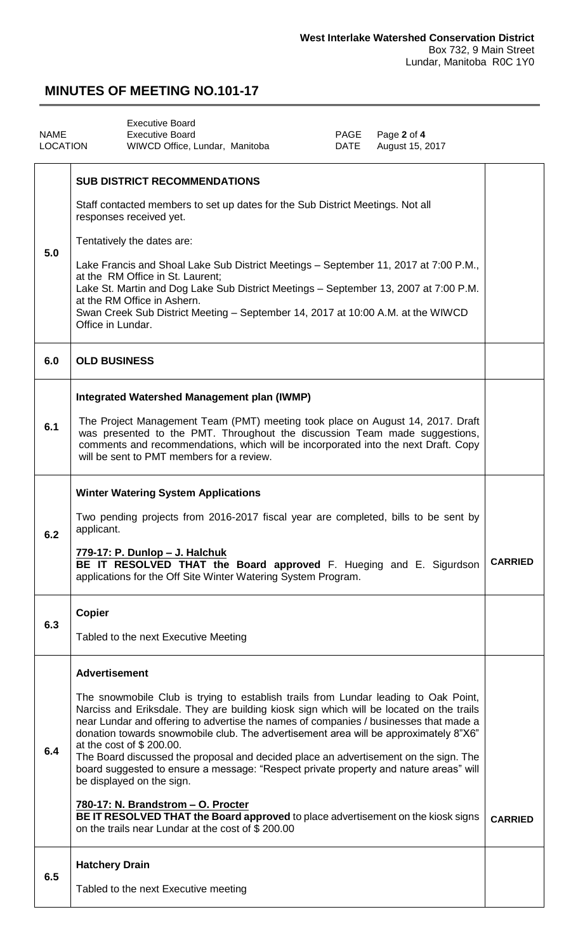<span id="page-1-0"></span>

| <b>NAME</b><br>LOCATION | <b>Executive Board</b><br><b>Executive Board</b><br>PAGE<br>Page 2 of 4<br>August 15, 2017<br>WIWCD Office, Lundar, Manitoba<br>DATE                                                                                                                                                                                                                                                                                                                                                                                                                                                                                                                                                                                                                                                                             |                |
|-------------------------|------------------------------------------------------------------------------------------------------------------------------------------------------------------------------------------------------------------------------------------------------------------------------------------------------------------------------------------------------------------------------------------------------------------------------------------------------------------------------------------------------------------------------------------------------------------------------------------------------------------------------------------------------------------------------------------------------------------------------------------------------------------------------------------------------------------|----------------|
| 5.0                     | <b>SUB DISTRICT RECOMMENDATIONS</b><br>Staff contacted members to set up dates for the Sub District Meetings. Not all<br>responses received yet.<br>Tentatively the dates are:<br>Lake Francis and Shoal Lake Sub District Meetings - September 11, 2017 at 7:00 P.M.,<br>at the RM Office in St. Laurent;<br>Lake St. Martin and Dog Lake Sub District Meetings - September 13, 2007 at 7:00 P.M.<br>at the RM Office in Ashern.<br>Swan Creek Sub District Meeting – September 14, 2017 at 10:00 A.M. at the WIWCD<br>Office in Lundar.                                                                                                                                                                                                                                                                        |                |
| 6.0                     | <b>OLD BUSINESS</b>                                                                                                                                                                                                                                                                                                                                                                                                                                                                                                                                                                                                                                                                                                                                                                                              |                |
| 6.1                     | Integrated Watershed Management plan (IWMP)<br>The Project Management Team (PMT) meeting took place on August 14, 2017. Draft<br>was presented to the PMT. Throughout the discussion Team made suggestions,<br>comments and recommendations, which will be incorporated into the next Draft. Copy<br>will be sent to PMT members for a review.                                                                                                                                                                                                                                                                                                                                                                                                                                                                   |                |
| 6.2                     | <b>Winter Watering System Applications</b><br>Two pending projects from 2016-2017 fiscal year are completed, bills to be sent by<br>applicant.<br>779-17: P. Dunlop - J. Halchuk<br>BE IT RESOLVED THAT the Board approved F. Hueging and E. Sigurdson<br>applications for the Off Site Winter Watering System Program.                                                                                                                                                                                                                                                                                                                                                                                                                                                                                          | <b>CARRIED</b> |
| 6.3                     | <b>Copier</b><br>Tabled to the next Executive Meeting                                                                                                                                                                                                                                                                                                                                                                                                                                                                                                                                                                                                                                                                                                                                                            |                |
| 6.4                     | <b>Advertisement</b><br>The snowmobile Club is trying to establish trails from Lundar leading to Oak Point,<br>Narciss and Eriksdale. They are building kiosk sign which will be located on the trails<br>near Lundar and offering to advertise the names of companies / businesses that made a<br>donation towards snowmobile club. The advertisement area will be approximately 8"X6"<br>at the cost of \$200.00.<br>The Board discussed the proposal and decided place an advertisement on the sign. The<br>board suggested to ensure a message: "Respect private property and nature areas" will<br>be displayed on the sign.<br>780-17: N. Brandstrom - O. Procter<br>BE IT RESOLVED THAT the Board approved to place advertisement on the kiosk signs<br>on the trails near Lundar at the cost of \$200.00 | <b>CARRIED</b> |
| 6.5                     | <b>Hatchery Drain</b><br>Tabled to the next Executive meeting                                                                                                                                                                                                                                                                                                                                                                                                                                                                                                                                                                                                                                                                                                                                                    |                |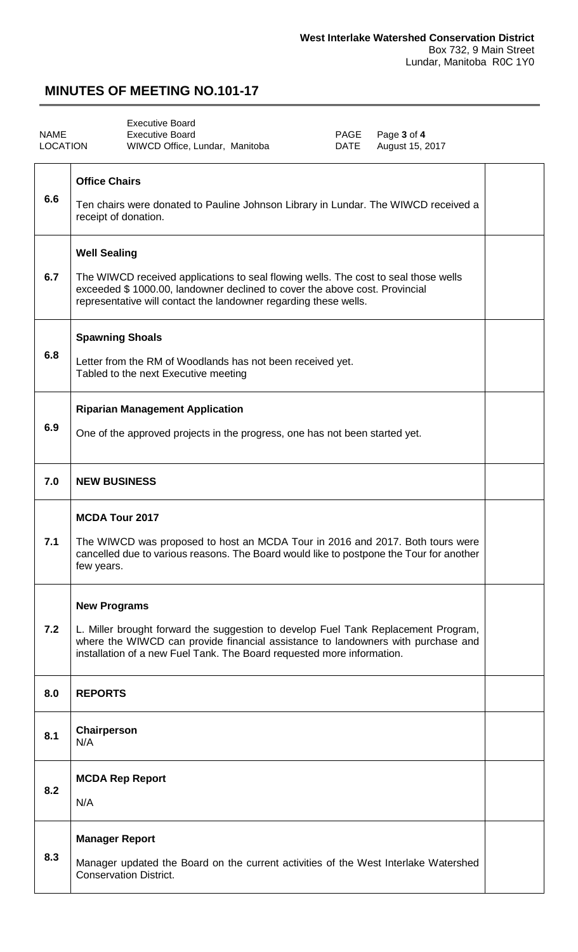<span id="page-2-0"></span>

| <b>NAME</b><br><b>LOCATION</b> | <b>Executive Board</b><br><b>Executive Board</b><br>PAGE<br>Page 3 of 4<br><b>DATE</b><br>August 15, 2017<br>WIWCD Office, Lundar, Manitoba                                                                                                                             |  |
|--------------------------------|-------------------------------------------------------------------------------------------------------------------------------------------------------------------------------------------------------------------------------------------------------------------------|--|
| 6.6                            | <b>Office Chairs</b><br>Ten chairs were donated to Pauline Johnson Library in Lundar. The WIWCD received a<br>receipt of donation.                                                                                                                                      |  |
| 6.7                            | <b>Well Sealing</b><br>The WIWCD received applications to seal flowing wells. The cost to seal those wells<br>exceeded \$1000.00, landowner declined to cover the above cost. Provincial<br>representative will contact the landowner regarding these wells.            |  |
| 6.8                            | <b>Spawning Shoals</b><br>Letter from the RM of Woodlands has not been received yet.<br>Tabled to the next Executive meeting                                                                                                                                            |  |
| 6.9                            | <b>Riparian Management Application</b><br>One of the approved projects in the progress, one has not been started yet.                                                                                                                                                   |  |
| 7.0                            | <b>NEW BUSINESS</b>                                                                                                                                                                                                                                                     |  |
| 7.1                            | <b>MCDA Tour 2017</b><br>The WIWCD was proposed to host an MCDA Tour in 2016 and 2017. Both tours were<br>cancelled due to various reasons. The Board would like to postpone the Tour for another<br>few years.                                                         |  |
| 7.2                            | <b>New Programs</b><br>L. Miller brought forward the suggestion to develop Fuel Tank Replacement Program,<br>where the WIWCD can provide financial assistance to landowners with purchase and<br>installation of a new Fuel Tank. The Board requested more information. |  |
| 8.0                            | <b>REPORTS</b>                                                                                                                                                                                                                                                          |  |
| 8.1                            | Chairperson<br>N/A                                                                                                                                                                                                                                                      |  |
| 8.2                            | <b>MCDA Rep Report</b><br>N/A                                                                                                                                                                                                                                           |  |
| 8.3                            | <b>Manager Report</b><br>Manager updated the Board on the current activities of the West Interlake Watershed<br><b>Conservation District.</b>                                                                                                                           |  |